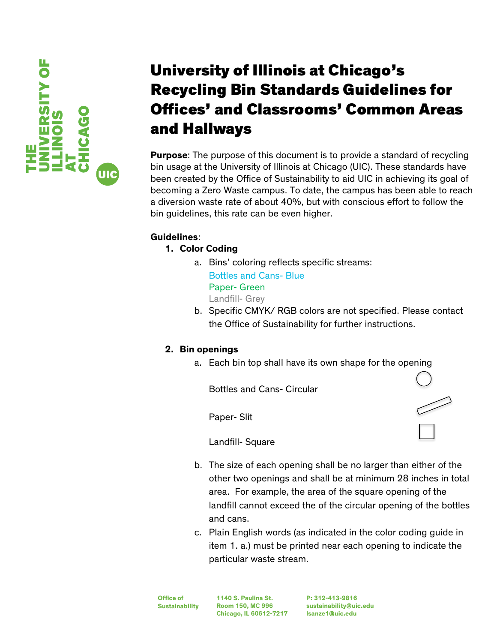

# University of Illinois at Chicago's Recycling Bin Standards Guidelines for Offices' and Classrooms' Common Areas and Hallways

**Purpose**: The purpose of this document is to provide a standard of recycling bin usage at the University of Illinois at Chicago (UIC). These standards have been created by the Office of Sustainability to aid UIC in achieving its goal of becoming a Zero Waste campus. To date, the campus has been able to reach a diversion waste rate of about 40%, but with conscious effort to follow the bin guidelines, this rate can be even higher.

## **Guidelines**:

## **1. Color Coding**

a. Bins' coloring reflects specific streams: Bottles and Cans- Blue

Paper- Green Landfill- Grey

b. Specific CMYK/ RGB colors are not specified. Please contact the Office of Sustainability for further instructions.

# **2. Bin openings**

a. Each bin top shall have its own shape for the opening

Bottles and Cans- Circular

Paper- Slit

Landfill- Square

- b. The size of each opening shall be no larger than either of the other two openings and shall be at minimum 28 inches in total area. For example, the area of the square opening of the landfill cannot exceed the of the circular opening of the bottles and cans.
- c. Plain English words (as indicated in the color coding guide in item 1. a.) must be printed near each opening to indicate the particular waste stream.

**Office of Sustainability** **1140 S. Paulina St. Room 150, MC 996 Chicago, IL 60612-7217**

**P: 312-413-9816 sustainability@uic.edu lsanze1@uic.edu**